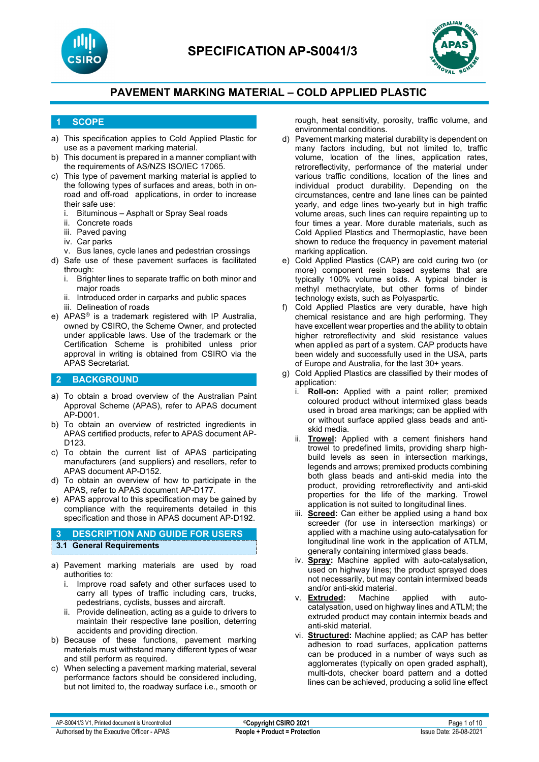



### **1 SCOPE**

- a) This specification applies to Cold Applied Plastic for use as a pavement marking material.
- b) This document is prepared in a manner compliant with the requirements of AS/NZS ISO/IEC 17065.
- c) This type of pavement marking material is applied to the following types of surfaces and areas, both in onroad and off-road applications, in order to increase their safe use:
	- i. Bituminous Asphalt or Spray Seal roads
	- ii. Concrete roads
	- iii. Paved paving
	- iv. Car parks
	- v. Bus lanes, cycle lanes and pedestrian crossings
- d) Safe use of these pavement surfaces is facilitated through:
	- i. Brighter lines to separate traffic on both minor and major roads
	- ii. Introduced order in carparks and public spaces
	- iii. Delineation of roads
- e) APAS® is a trademark registered with IP Australia, owned by CSIRO, the Scheme Owner, and protected under applicable laws. Use of the trademark or the Certification Scheme is prohibited unless prior approval in writing is obtained from CSIRO via the APAS Secretariat.

### **2 BACKGROUND**

- a) To obtain a broad overview of the Australian Paint Approval Scheme (APAS), refer to APAS document AP-D001.
- b) To obtain an overview of restricted ingredients in APAS certified products, refer to APAS document AP-D123.
- c) To obtain the current list of APAS participating manufacturers (and suppliers) and resellers, refer to APAS document AP-D152.
- d) To obtain an overview of how to participate in the APAS, refer to APAS document AP-D177.
- e) APAS approval to this specification may be gained by compliance with the requirements detailed in this specification and those in APAS document AP-D192.

### **3 DESCRIPTION AND GUIDE FOR USERS 3.1 General Requirements**

- a) Pavement marking materials are used by road authorities to:
	- i. Improve road safety and other surfaces used to carry all types of traffic including cars, trucks, pedestrians, cyclists, busses and aircraft.
	- ii. Provide delineation, acting as a guide to drivers to maintain their respective lane position, deterring accidents and providing direction.
- b) Because of these functions, pavement marking materials must withstand many different types of wear and still perform as required.
- c) When selecting a pavement marking material, several performance factors should be considered including, but not limited to, the roadway surface i.e., smooth or

rough, heat sensitivity, porosity, traffic volume, and environmental conditions.

- d) Pavement marking material durability is dependent on many factors including, but not limited to, traffic volume, location of the lines, application rates, retroreflectivity, performance of the material under various traffic conditions, location of the lines and individual product durability. Depending on the circumstances, centre and lane lines can be painted yearly, and edge lines two-yearly but in high traffic volume areas, such lines can require repainting up to four times a year. More durable materials, such as Cold Applied Plastics and Thermoplastic, have been shown to reduce the frequency in pavement material marking application.
- e) Cold Applied Plastics (CAP) are cold curing two (or more) component resin based systems that are typically 100% volume solids. A typical binder is methyl methacrylate, but other forms of binder technology exists, such as Polyaspartic.
- f) Cold Applied Plastics are very durable, have high chemical resistance and are high performing. They have excellent wear properties and the ability to obtain higher retroreflectivity and skid resistance values when applied as part of a system. CAP products have been widely and successfully used in the USA, parts of Europe and Australia, for the last 30+ years.
- g) Cold Applied Plastics are classified by their modes of application:
	- i. **Roll-on:** Applied with a paint roller; premixed coloured product without intermixed glass beads used in broad area markings; can be applied with or without surface applied glass beads and antiskid media.
	- ii. **Trowel:** Applied with a cement finishers hand trowel to predefined limits, providing sharp highbuild levels as seen in intersection markings, legends and arrows; premixed products combining both glass beads and anti-skid media into the product, providing retroreflectivity and anti-skid properties for the life of the marking. Trowel application is not suited to longitudinal lines.
	- iii. **Screed:** Can either be applied using a hand box screeder (for use in intersection markings) or applied with a machine using auto-catalysation for longitudinal line work in the application of ATLM, generally containing intermixed glass beads.
	- iv. **Spray:** Machine applied with auto-catalysation, used on highway lines; the product sprayed does not necessarily, but may contain intermixed beads and/or anti-skid material.<br> **Extruded:** Machine
	- v. **Extruded:** Machine applied with autocatalysation, used on highway lines and ATLM; the extruded product may contain intermix beads and anti-skid material.
	- vi. **Structured:** Machine applied; as CAP has better adhesion to road surfaces, application patterns can be produced in a number of ways such as agglomerates (typically on open graded asphalt), multi-dots, checker board pattern and a dotted lines can be achieved, producing a solid line effect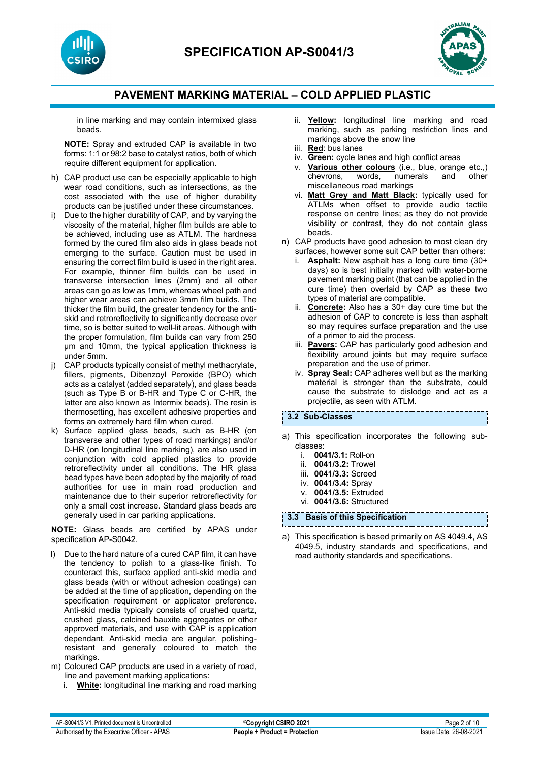



in line marking and may contain intermixed glass beads.

**NOTE:** Spray and extruded CAP is available in two forms: 1:1 or 98:2 base to catalyst ratios, both of which require different equipment for application.

- h) CAP product use can be especially applicable to high wear road conditions, such as intersections, as the cost associated with the use of higher durability products can be justified under these circumstances.
- i) Due to the higher durability of CAP, and by varying the viscosity of the material, higher film builds are able to be achieved, including use as ATLM. The hardness formed by the cured film also aids in glass beads not emerging to the surface. Caution must be used in ensuring the correct film build is used in the right area. For example, thinner film builds can be used in transverse intersection lines (2mm) and all other areas can go as low as 1mm, whereas wheel path and higher wear areas can achieve 3mm film builds. The thicker the film build, the greater tendency for the antiskid and retroreflectivity to significantly decrease over time, so is better suited to well-lit areas. Although with the proper formulation, film builds can vary from 250 µm and 10mm, the typical application thickness is under 5mm.
- CAP products typically consist of methyl methacrylate, fillers, pigments, Dibenzoyl Peroxide (BPO) which acts as a catalyst (added separately), and glass beads (such as Type B or B-HR and Type C or C-HR, the latter are also known as Intermix beads). The resin is thermosetting, has excellent adhesive properties and forms an extremely hard film when cured.
- k) Surface applied glass beads, such as B-HR (on transverse and other types of road markings) and/or D-HR (on longitudinal line marking), are also used in conjunction with cold applied plastics to provide retroreflectivity under all conditions. The HR glass bead types have been adopted by the majority of road authorities for use in main road production and maintenance due to their superior retroreflectivity for only a small cost increase. Standard glass beads are generally used in car parking applications.

**NOTE:** Glass beads are certified by APAS under specification AP-S0042.

- l) Due to the hard nature of a cured CAP film, it can have the tendency to polish to a glass-like finish. To counteract this, surface applied anti-skid media and glass beads (with or without adhesion coatings) can be added at the time of application, depending on the specification requirement or applicator preference. Anti-skid media typically consists of crushed quartz, crushed glass, calcined bauxite aggregates or other approved materials, and use with CAP is application dependant. Anti-skid media are angular, polishingresistant and generally coloured to match the markings.
- m) Coloured CAP products are used in a variety of road, line and pavement marking applications:
	- i. **White:** longitudinal line marking and road marking
- ii. **Yellow:** longitudinal line marking and road marking, such as parking restriction lines and markings above the snow line
- iii. **Red**: bus lanes
- iv. **Green:** cycle lanes and high conflict areas
- v. **Various other colours** (i.e., blue, orange etc.,) chevrons, words, numerals and other chevrons, words, numerals miscellaneous road markings
- vi. **Matt Grey and Matt Black:** typically used for ATLMs when offset to provide audio tactile response on centre lines; as they do not provide visibility or contrast, they do not contain glass beads.
- n) CAP products have good adhesion to most clean dry surfaces, however some suit CAP better than others:
	- i. **Asphalt:** New asphalt has a long cure time (30+ days) so is best initially marked with water-borne pavement marking paint (that can be applied in the cure time) then overlaid by CAP as these two types of material are compatible.
	- ii. **Concrete:** Also has a 30+ day cure time but the adhesion of CAP to concrete is less than asphalt so may requires surface preparation and the use of a primer to aid the process.
	- iii. **Pavers:** CAP has particularly good adhesion and flexibility around joints but may require surface preparation and the use of primer.
	- iv. **Spray Seal:** CAP adheres well but as the marking material is stronger than the substrate, could cause the substrate to dislodge and act as a projectile, as seen with ATLM.

#### **3.2 Sub-Classes**

- a) This specification incorporates the following subclasses:
	- i. **0041/3.1:** Roll-on
	- ii. **0041/3.2:** Trowel
	- iii. **0041/3.3:** Screed
	- iv. **0041/3.4:** Spray
	- v. **0041/3.5:** Extruded vi. **0041/3.6:** Structured

**3.3 Basis of this Specification**

a) This specification is based primarily on AS 4049.4, AS 4049.5, industry standards and specifications, and road authority standards and specifications.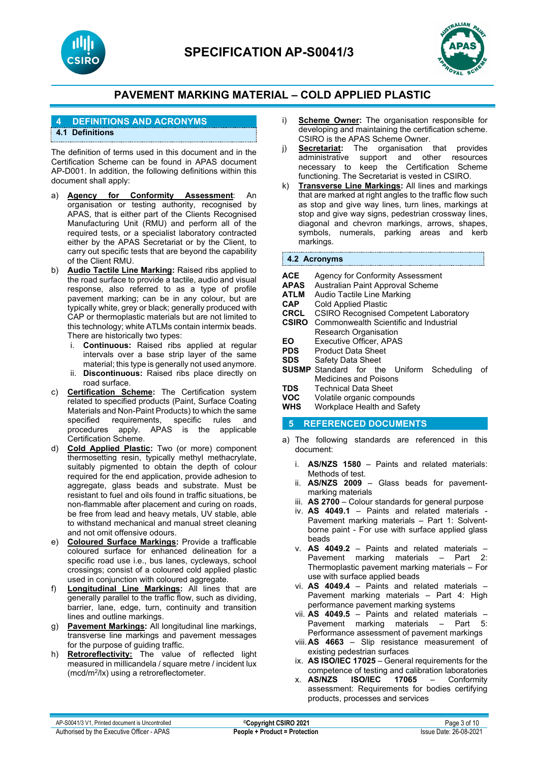



### **4 DEFINITIONS AND ACRONYMS**

### **4.1 Definitions**

The definition of terms used in this document and in the Certification Scheme can be found in APAS document AP-D001. In addition, the following definitions within this document shall apply:

- a) **Agency for Conformity Assessment**: An organisation or testing authority, recognised by APAS, that is either part of the Clients Recognised Manufacturing Unit (RMU) and perform all of the required tests, or a specialist laboratory contracted either by the APAS Secretariat or by the Client, to carry out specific tests that are beyond the capability of the Client RMU.
- b) **Audio Tactile Line Marking:** Raised ribs applied to the road surface to provide a tactile, audio and visual response, also referred to as a type of profile pavement marking; can be in any colour, but are typically white, grey or black; generally produced with CAP or thermoplastic materials but are not limited to this technology; white ATLMs contain intermix beads. There are historically two types:
	- i. **Continuous:** Raised ribs applied at regular intervals over a base strip layer of the same material; this type is generally not used anymore.
	- ii. **Discontinuous:** Raised ribs place directly on road surface.
- c) **Certification Scheme:** The Certification system related to specified products (Paint, Surface Coating Materials and Non-Paint Products) to which the same specified requirements, specific rules and procedures apply. APAS is the applicable Certification Scheme.
- d) **Cold Applied Plastic:** Two (or more) component thermosetting resin, typically methyl methacrylate, suitably pigmented to obtain the depth of colour required for the end application, provide adhesion to aggregate, glass beads and substrate. Must be resistant to fuel and oils found in traffic situations, be non-flammable after placement and curing on roads, be free from lead and heavy metals, UV stable, able to withstand mechanical and manual street cleaning and not omit offensive odours.
- e) **Coloured Surface Markings:** Provide a trafficable coloured surface for enhanced delineation for a specific road use i.e., bus lanes, cycleways, school crossings; consist of a coloured cold applied plastic used in conjunction with coloured aggregate.
- f) **Longitudinal Line Markings:** All lines that are generally parallel to the traffic flow, such as dividing, barrier, lane, edge, turn, continuity and transition lines and outline markings.
- g) **Pavement Markings:** All longitudinal line markings, transverse line markings and pavement messages for the purpose of guiding traffic.
- h) **Retroreflectivity:** The value of reflected light measured in millicandela / square metre / incident lux (mcd/m2/lx) using a retroreflectometer.
- i) **Scheme Owner:** The organisation responsible for developing and maintaining the certification scheme. CSIRO is the APAS Scheme Owner.
- j) **Secretariat:** The organisation that provides administrative support and other resources necessary to keep the Certification Scheme functioning. The Secretariat is vested in CSIRO.
- k) **Transverse Line Markings:** All lines and markings that are marked at right angles to the traffic flow such as stop and give way lines, turn lines, markings at stop and give way signs, pedestrian crossway lines, diagonal and chevron markings, arrows, shapes, symbols, numerals, parking areas and kerb markings.

#### **4.2 Acronyms**

| Agency for Conformity Assessment<br>Australian Paint Approval Scheme<br>Audio Tactile Line Marking |                                                                                                                                             |  |
|----------------------------------------------------------------------------------------------------|---------------------------------------------------------------------------------------------------------------------------------------------|--|
|                                                                                                    |                                                                                                                                             |  |
|                                                                                                    |                                                                                                                                             |  |
| Commonwealth Scientific and Industrial                                                             |                                                                                                                                             |  |
| Research Organisation                                                                              |                                                                                                                                             |  |
| Executive Officer, APAS                                                                            |                                                                                                                                             |  |
| <b>Product Data Sheet</b>                                                                          |                                                                                                                                             |  |
| Safety Data Sheet                                                                                  |                                                                                                                                             |  |
| Scheduling                                                                                         | οf                                                                                                                                          |  |
| <b>Medicines and Poisons</b>                                                                       |                                                                                                                                             |  |
| <b>Technical Data Sheet</b>                                                                        |                                                                                                                                             |  |
|                                                                                                    |                                                                                                                                             |  |
| Workplace Health and Safety                                                                        |                                                                                                                                             |  |
|                                                                                                    | Cold Applied Plastic<br><b>CSIRO Recognised Competent Laboratory</b><br><b>SUSMP</b> Standard for the Uniform<br>Volatile organic compounds |  |

#### **5 REFERENCED DOCUMENTS**

- a) The following standards are referenced in this document:
	- i. **AS/NZS 1580** Paints and related materials: Methods of test.
	- ii. **AS/NZS 2009**  Glass beads for pavementmarking materials
	- iii. **AS 2700**  Colour standards for general purpose
	- iv. **AS 4049.1** [Paints and related materials -](https://www.saiglobal.com/online/Script/Details.asp?DocN=AS0733764320AT) [Pavement marking materials –](https://www.saiglobal.com/online/Script/Details.asp?DocN=AS0733764320AT) Part 1: Solventborne paint - [For use with surface applied glass](https://www.saiglobal.com/online/Script/Details.asp?DocN=AS0733764320AT)  [beads](https://www.saiglobal.com/online/Script/Details.asp?DocN=AS0733764320AT)
	- v. **AS 4049.2** Paints and related materials Pavement marking materials – Part 2: Thermoplastic pavement marking materials – For use with surface applied beads
	- vi. **AS 4049.4** Paints and related materials Pavement marking materials – Part 4: High performance pavement marking systems
	- vii. **AS 4049.5** Paints and related materials Pavement marking materials – Part 5: Performance assessment of pavement markings
	- viii.**AS 4663**  Slip resistance measurement of existing pedestrian surfaces
	- ix. **AS ISO/IEC 17025** General requirements for the competence of testing and calibration laboratories<br>x. **AS/NZS** ISO/IEC 17065 - Conformity
	- x. **AS/NZS ISO/IEC 17065**  Conformity assessment: Requirements for bodies certifying products, processes and services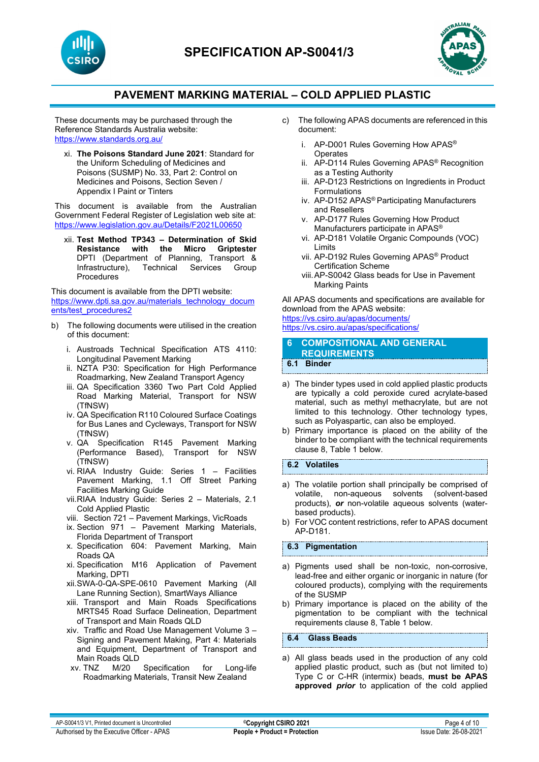



These documents may be purchased through the Reference Standards Australia website: <https://www.standards.org.au/>

xi. **The Poisons Standard June 2021**: Standard for the Uniform Scheduling of Medicines and Poisons (SUSMP) No. 33, Part 2: Control on Medicines and Poisons, Section Seven / Appendix I Paint or Tinters

This document is available from the Australian Government Federal Register of Legislation web site at: <https://www.legislation.gov.au/Details/F2021L00650>

xii. **Test Method TP343 – Determination of Skid Resistance with the** DPTI (Department of Planning, Transport &<br>Infrastructure), Technical Services Group Infrastructure), Procedures

This document is available from the DPTI website: [https://www.dpti.sa.gov.au/materials\\_technology\\_docum](https://www.dpti.sa.gov.au/materials_technology_documents/test_procedures2) [ents/test\\_procedures2](https://www.dpti.sa.gov.au/materials_technology_documents/test_procedures2)

- b) The following documents were utilised in the creation of this document:
	- i. Austroads Technical Specification ATS 4110: Longitudinal Pavement Marking
	- ii. NZTA P30: Specification for High Performance Roadmarking, New Zealand Transport Agency
	- iii. QA Specification 3360 Two Part Cold Applied Road Marking Material, Transport for NSW (TfNSW)
	- iv. QA Specification R110 Coloured Surface Coatings for Bus Lanes and Cycleways, Transport for NSW (TfNSW)
	- v. QA Specification R145 Pavement Marking (Performance Based), Transport for NSW (TfNSW)
	- vi. RIAA Industry Guide: Series 1 Facilities Pavement Marking, 1.1 Off Street Parking Facilities Marking Guide
	- vii.RIAA Industry Guide: Series 2 Materials, 2.1 Cold Applied Plastic
	- viii. Section 721 Pavement Markings, VicRoads
	- ix. Section 971 Pavement Marking Materials, Florida Department of Transport
	- x. Specification 604: Pavement Marking, Main Roads QA
	- xi. Specification M16 Application of Pavement Marking, DPTI
	- xii.SWA-0-QA-SPE-0610 Pavement Marking (All Lane Running Section), SmartWays Alliance
	- xiii. Transport and Main Roads Specifications MRTS45 Road Surface Delineation, Department of Transport and Main Roads QLD
	- xiv. Traffic and Road Use Management Volume 3 Signing and Pavement Making, Part 4: Materials and Equipment, Department of Transport and Main Roads QLD<br>xv. TNZ M/20
	- Specification for Long-life Roadmarking Materials, Transit New Zealand
- c) The following APAS documents are referenced in this document:
	- i. AP-D001 Rules Governing How APAS® **Operates**
	- ii. AP-D114 Rules Governing APAS® Recognition as a Testing Authority
	- iii. AP-D123 Restrictions on Ingredients in Product Formulations
	- iv. AP-D152 APAS® Participating Manufacturers and Resellers
	- v. AP-D177 Rules Governing How Product Manufacturers participate in APAS®
	- vi. AP-D181 Volatile Organic Compounds (VOC) Limits
	- vii. AP-D192 Rules Governing APAS® Product Certification Scheme
	- viii.AP-S0042 Glass beads for Use in Pavement Marking Paints

All APAS documents and specifications are available for download from the APAS website: <https://vs.csiro.au/apas/documents/> <https://vs.csiro.au/apas/specifications/>

**6 COMPOSITIONAL AND GENERAL REQUIREMENTS 6.1 Binder**

- a) The binder types used in cold applied plastic products are typically a cold peroxide cured acrylate-based material, such as methyl methacrylate, but are not limited to this technology. Other technology types, such as Polyaspartic, can also be employed.
- b) Primary importance is placed on the ability of the binder to be compliant with the technical requirements clause 8, Table 1 below.

### **6.2 Volatiles**

- a) The volatile portion shall principally be comprised of volatile, non-aqueous solvents (solvent-based solvents (solvent-based products), *or* non-volatile aqueous solvents (waterbased products).
- b) For VOC content restrictions, refer to APAS document AP-D181.

#### **6.3 Pigmentation**

- a) Pigments used shall be non-toxic, non-corrosive, lead-free and either organic or inorganic in nature (for coloured products), complying with the requirements of the SUSMP
- b) Primary importance is placed on the ability of the pigmentation to be compliant with the technical requirements clause 8, Table 1 below.

**6.4 Glass Beads**

a) All glass beads used in the production of any cold applied plastic product, such as (but not limited to) Type C or C-HR (intermix) beads, **must be APAS approved** *prior* to application of the cold applied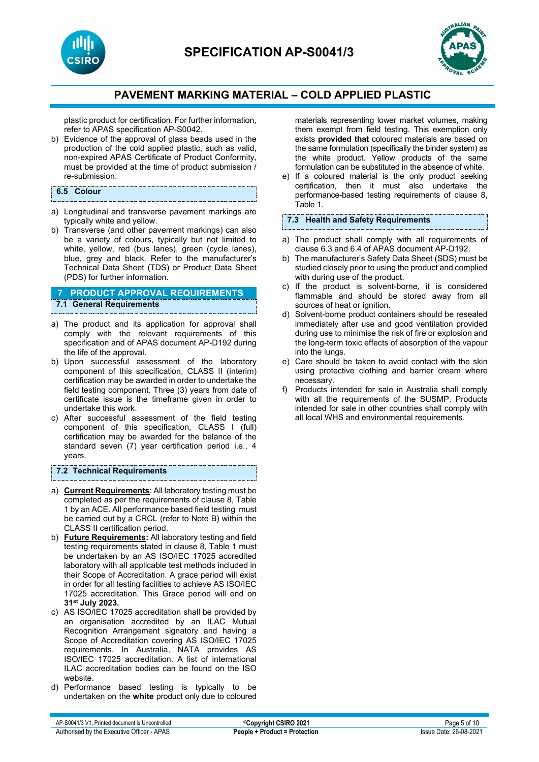



plastic product for certification. For further information, refer to APAS specification AP-S0042.

b) Evidence of the approval of glass beads used in the production of the cold applied plastic, such as valid, non-expired APAS Certificate of Product Conformity, must be provided at the time of product submission / re-submission.

### **6.5 Colour**

- a) Longitudinal and transverse pavement markings are typically white and yellow.
- b) Transverse (and other pavement markings) can also be a variety of colours, typically but not limited to white, yellow, red (bus lanes), green (cycle lanes), blue, grey and black. Refer to the manufacturer's Technical Data Sheet (TDS) or Product Data Sheet (PDS) for further information.

### **7 PRODUCT APPROVAL REQUIREMENTS 7.1 General Requirements**

- a) The product and its application for approval shall comply with the relevant requirements of this specification and of APAS document AP-D192 during the life of the approval.
- b) Upon successful assessment of the laboratory component of this specification, CLASS II (interim) certification may be awarded in order to undertake the field testing component. Three (3) years from date of certificate issue is the timeframe given in order to undertake this work.
- c) After successful assessment of the field testing component of this specification, CLASS I (full) certification may be awarded for the balance of the standard seven (7) year certification period i.e., 4 years.

#### **7.2 Technical Requirements**

- a) **Current Requirements**: All laboratory testing must be completed as per the requirements of clause 8, Table 1 by an ACE. All performance based field testing must be carried out by a CRCL (refer to Note B) within the CLASS II certification period.
- b) **Future Requirements:** All laboratory testing and field testing requirements stated in clause 8, Table 1 must be undertaken by an AS ISO/IEC 17025 accredited laboratory with all applicable test methods included in their Scope of Accreditation. A grace period will exist in order for all testing facilities to achieve AS ISO/IEC 17025 accreditation. This Grace period will end on **31st July 2023.**
- c) AS ISO/IEC 17025 accreditation shall be provided by an organisation accredited by an ILAC Mutual Recognition Arrangement signatory and having a Scope of Accreditation covering AS ISO/IEC 17025 requirements. In Australia, NATA provides AS ISO/IEC 17025 accreditation. A list of international ILAC accreditation bodies can be found on the ISO website.
- d) Performance based testing is typically to be undertaken on the **white** product only due to coloured

materials representing lower market volumes, making them exempt from field testing. This exemption only exists **provided that** coloured materials are based on the same formulation (specifically the binder system) as the white product. Yellow products of the same formulation can be substituted in the absence of white.

e) If a coloured material is the only product seeking certification, then it must also undertake the performance-based testing requirements of clause 8, Table 1.

#### **7.3 Health and Safety Requirements**

- a) The product shall comply with all requirements of clause 6.3 and 6.4 of APAS document AP-D192.
- b) The manufacturer's Safety Data Sheet (SDS) must be studied closely prior to using the product and complied with during use of the product.
- c) If the product is solvent-borne, it is considered flammable and should be stored away from all sources of heat or ignition.
- d) Solvent-borne product containers should be resealed immediately after use and good ventilation provided during use to minimise the risk of fire or explosion and the long-term toxic effects of absorption of the vapour into the lungs.
- e) Care should be taken to avoid contact with the skin using protective clothing and barrier cream where necessary.
- f) Products intended for sale in Australia shall comply with all the requirements of the SUSMP. Products intended for sale in other countries shall comply with all local WHS and environmental requirements.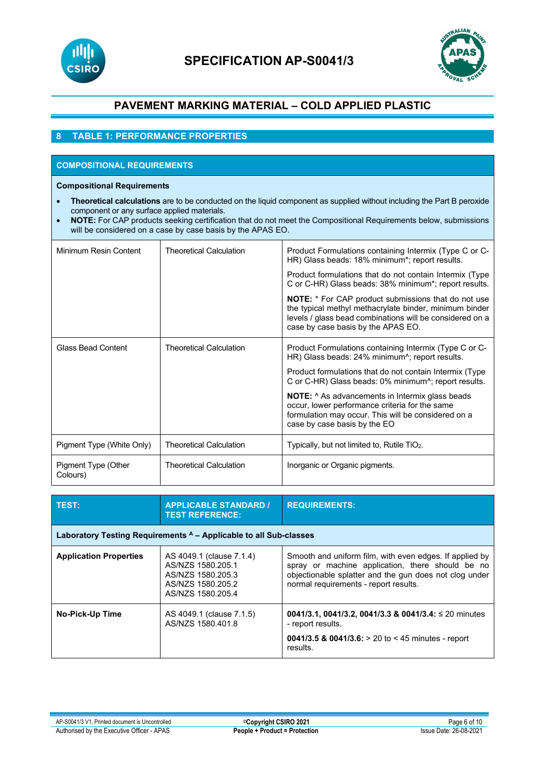



### **8 TABLE 1: PERFORMANCE PROPERTIES**

# **COMPOSITIONAL REQUIREMENTS**

**Compositional Requirements**

- **Theoretical calculations** are to be conducted on the liquid component as supplied without including the Part B peroxide component or any surface applied materials.
- **NOTE:** For CAP products seeking certification that do not meet the Compositional Requirements below, submissions will be considered on a case by case basis by the APAS EO.

| Minimum Resin Content           | <b>Theoretical Calculation</b> | Product Formulations containing Intermix (Type C or C-<br>HR) Glass beads: 18% minimum*; report results.                                                                                                               |
|---------------------------------|--------------------------------|------------------------------------------------------------------------------------------------------------------------------------------------------------------------------------------------------------------------|
|                                 |                                | Product formulations that do not contain Intermix (Type<br>C or C-HR) Glass beads: 38% minimum*; report results.                                                                                                       |
|                                 |                                | <b>NOTE:</b> * For CAP product submissions that do not use<br>the typical methyl methacrylate binder, minimum binder<br>levels / glass bead combinations will be considered on a<br>case by case basis by the APAS EO. |
| Glass Bead Content              | <b>Theoretical Calculation</b> | Product Formulations containing Intermix (Type C or C-<br>HR) Glass beads: 24% minimum <sup>2</sup> ; report results.                                                                                                  |
|                                 |                                | Product formulations that do not contain Intermix (Type<br>C or C-HR) Glass beads: 0% minimum^; report results.                                                                                                        |
|                                 |                                | <b>NOTE:</b> ^ As advancements in Intermix glass beads<br>occur, lower performance criteria for the same<br>formulation may occur. This will be considered on a<br>case by case basis by the EO                        |
| Pigment Type (White Only)       | <b>Theoretical Calculation</b> | Typically, but not limited to, Rutile TiO <sub>2</sub> .                                                                                                                                                               |
| Pigment Type (Other<br>Colours) | <b>Theoretical Calculation</b> | Inorganic or Organic pigments.                                                                                                                                                                                         |

| TEST:                                                             | <b>APPLICABLE STANDARD /</b><br><b>TEST REFERENCE:</b>                                                       | <b>REQUIREMENTS:</b>                                                                                                                                                                                           |  |  |
|-------------------------------------------------------------------|--------------------------------------------------------------------------------------------------------------|----------------------------------------------------------------------------------------------------------------------------------------------------------------------------------------------------------------|--|--|
| Laboratory Testing Requirements A - Applicable to all Sub-classes |                                                                                                              |                                                                                                                                                                                                                |  |  |
| <b>Application Properties</b>                                     | AS 4049.1 (clause 7.1.4)<br>AS/NZS 1580.205.1<br>AS/NZS 1580.205.3<br>AS/NZS 1580.205.2<br>AS/NZS 1580.205.4 | Smooth and uniform film, with even edges. If applied by<br>spray or machine application, there should be no<br>objectionable splatter and the gun does not clog under<br>normal requirements - report results. |  |  |
| <b>No-Pick-Up Time</b>                                            | AS 4049.1 (clause 7.1.5)<br>AS/NZS 1580.401.8                                                                | 0041/3.1, 0041/3.2, 0041/3.3 & 0041/3.4: $\leq$ 20 minutes<br>- report results.<br>0041/3.5 & 0041/3.6: > 20 to < 45 minutes - report<br>results.                                                              |  |  |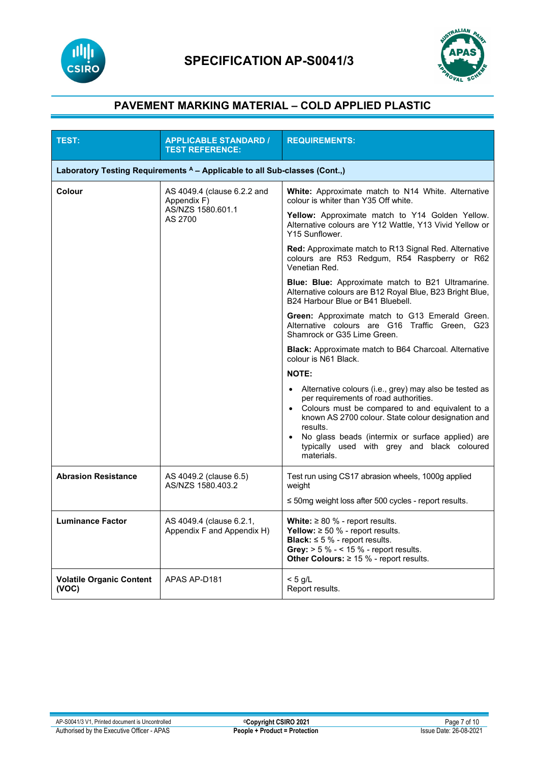



| <b>TEST:</b>                                                               | <b>APPLICABLE STANDARD /</b><br><b>TEST REFERENCE:</b>                     | <b>REQUIREMENTS:</b>                                                                                                                                                                                                                                                                                                                                              |  |  |
|----------------------------------------------------------------------------|----------------------------------------------------------------------------|-------------------------------------------------------------------------------------------------------------------------------------------------------------------------------------------------------------------------------------------------------------------------------------------------------------------------------------------------------------------|--|--|
| Laboratory Testing Requirements A - Applicable to all Sub-classes (Cont.,) |                                                                            |                                                                                                                                                                                                                                                                                                                                                                   |  |  |
| Colour                                                                     | AS 4049.4 (clause 6.2.2 and<br>Appendix F)<br>AS/NZS 1580.601.1<br>AS 2700 | <b>White:</b> Approximate match to N14 White. Alternative<br>colour is whiter than Y35 Off white.                                                                                                                                                                                                                                                                 |  |  |
|                                                                            |                                                                            | Yellow: Approximate match to Y14 Golden Yellow.<br>Alternative colours are Y12 Wattle, Y13 Vivid Yellow or<br>Y15 Sunflower.                                                                                                                                                                                                                                      |  |  |
|                                                                            |                                                                            | <b>Red:</b> Approximate match to R13 Signal Red. Alternative<br>colours are R53 Redgum, R54 Raspberry or R62<br>Venetian Red.                                                                                                                                                                                                                                     |  |  |
|                                                                            |                                                                            | Blue: Blue: Approximate match to B21 Ultramarine.<br>Alternative colours are B12 Royal Blue, B23 Bright Blue,<br>B24 Harbour Blue or B41 Bluebell.                                                                                                                                                                                                                |  |  |
|                                                                            |                                                                            | Green: Approximate match to G13 Emerald Green.<br>Alternative colours are G16 Traffic Green, G23<br>Shamrock or G35 Lime Green.                                                                                                                                                                                                                                   |  |  |
|                                                                            |                                                                            | <b>Black:</b> Approximate match to B64 Charcoal. Alternative<br>colour is N61 Black.                                                                                                                                                                                                                                                                              |  |  |
|                                                                            |                                                                            | <b>NOTE:</b>                                                                                                                                                                                                                                                                                                                                                      |  |  |
|                                                                            |                                                                            | Alternative colours (i.e., grey) may also be tested as<br>$\bullet$<br>per requirements of road authorities.<br>• Colours must be compared to and equivalent to a<br>known AS 2700 colour. State colour designation and<br>results.<br>No glass beads (intermix or surface applied) are<br>$\bullet$<br>typically used with grey and black coloured<br>materials. |  |  |
| <b>Abrasion Resistance</b>                                                 | AS 4049.2 (clause 6.5)<br>AS/NZS 1580.403.2                                | Test run using CS17 abrasion wheels, 1000g applied<br>weight                                                                                                                                                                                                                                                                                                      |  |  |
|                                                                            |                                                                            | $\leq$ 50mg weight loss after 500 cycles - report results.                                                                                                                                                                                                                                                                                                        |  |  |
| <b>Luminance Factor</b>                                                    | AS 4049.4 (clause 6.2.1,<br>Appendix F and Appendix H)                     | White: $\geq 80$ % - report results.<br>Yellow: $\geq 50$ % - report results.<br><b>Black:</b> $\leq$ 5 % - report results.<br>Grey: $> 5 \% - 15 \% -$ report results.<br>Other Colours: $\geq 15$ % - report results.                                                                                                                                           |  |  |
| <b>Volatile Organic Content</b><br>(VOC)                                   | APAS AP-D181                                                               | $< 5$ g/L<br>Report results.                                                                                                                                                                                                                                                                                                                                      |  |  |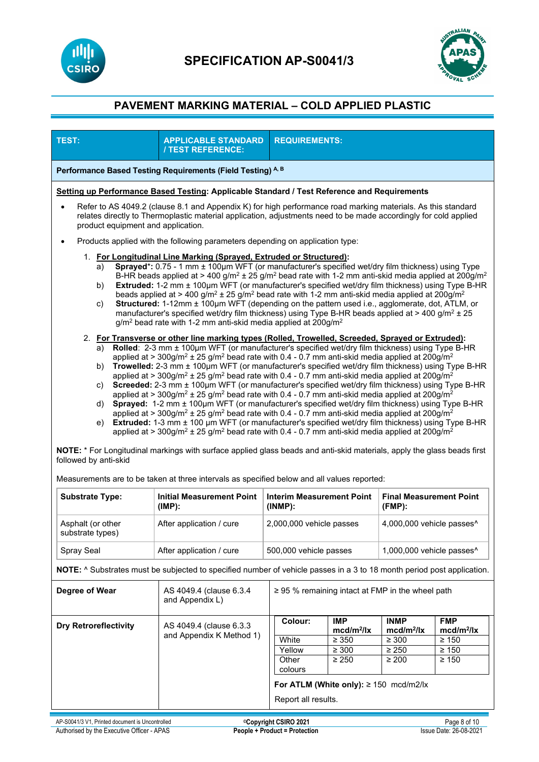



| <b>APPLICABLE STANDARD</b><br>/ TEST REFERENCE:                                                                                                                                                                                                                                                                                                                                                                                                                                                                                                                                                                                                                                                                                                                                                                                                                                                                                                                                                                                                                                                                                                                                                                                                                                                                                                                                                                                                                                                                                                                                                                                                                                                                                                                                                                                                                                                                                                                                                                                                                                                                                                                                                                                                                                                                                                                                       | <b>REQUIREMENTS:</b>                           |                                                                |                                                                                                                                                                                                |                                                                                                                                                                                                                                                                                                     |
|---------------------------------------------------------------------------------------------------------------------------------------------------------------------------------------------------------------------------------------------------------------------------------------------------------------------------------------------------------------------------------------------------------------------------------------------------------------------------------------------------------------------------------------------------------------------------------------------------------------------------------------------------------------------------------------------------------------------------------------------------------------------------------------------------------------------------------------------------------------------------------------------------------------------------------------------------------------------------------------------------------------------------------------------------------------------------------------------------------------------------------------------------------------------------------------------------------------------------------------------------------------------------------------------------------------------------------------------------------------------------------------------------------------------------------------------------------------------------------------------------------------------------------------------------------------------------------------------------------------------------------------------------------------------------------------------------------------------------------------------------------------------------------------------------------------------------------------------------------------------------------------------------------------------------------------------------------------------------------------------------------------------------------------------------------------------------------------------------------------------------------------------------------------------------------------------------------------------------------------------------------------------------------------------------------------------------------------------------------------------------------------|------------------------------------------------|----------------------------------------------------------------|------------------------------------------------------------------------------------------------------------------------------------------------------------------------------------------------|-----------------------------------------------------------------------------------------------------------------------------------------------------------------------------------------------------------------------------------------------------------------------------------------------------|
| Performance Based Testing Requirements (Field Testing) A, B                                                                                                                                                                                                                                                                                                                                                                                                                                                                                                                                                                                                                                                                                                                                                                                                                                                                                                                                                                                                                                                                                                                                                                                                                                                                                                                                                                                                                                                                                                                                                                                                                                                                                                                                                                                                                                                                                                                                                                                                                                                                                                                                                                                                                                                                                                                           |                                                |                                                                |                                                                                                                                                                                                |                                                                                                                                                                                                                                                                                                     |
|                                                                                                                                                                                                                                                                                                                                                                                                                                                                                                                                                                                                                                                                                                                                                                                                                                                                                                                                                                                                                                                                                                                                                                                                                                                                                                                                                                                                                                                                                                                                                                                                                                                                                                                                                                                                                                                                                                                                                                                                                                                                                                                                                                                                                                                                                                                                                                                       |                                                |                                                                |                                                                                                                                                                                                |                                                                                                                                                                                                                                                                                                     |
| Refer to AS 4049.2 (clause 8.1 and Appendix K) for high performance road marking materials. As this standard<br>relates directly to Thermoplastic material application, adjustments need to be made accordingly for cold applied<br>product equipment and application.                                                                                                                                                                                                                                                                                                                                                                                                                                                                                                                                                                                                                                                                                                                                                                                                                                                                                                                                                                                                                                                                                                                                                                                                                                                                                                                                                                                                                                                                                                                                                                                                                                                                                                                                                                                                                                                                                                                                                                                                                                                                                                                |                                                |                                                                |                                                                                                                                                                                                |                                                                                                                                                                                                                                                                                                     |
|                                                                                                                                                                                                                                                                                                                                                                                                                                                                                                                                                                                                                                                                                                                                                                                                                                                                                                                                                                                                                                                                                                                                                                                                                                                                                                                                                                                                                                                                                                                                                                                                                                                                                                                                                                                                                                                                                                                                                                                                                                                                                                                                                                                                                                                                                                                                                                                       |                                                |                                                                |                                                                                                                                                                                                |                                                                                                                                                                                                                                                                                                     |
| 1. For Longitudinal Line Marking (Sprayed, Extruded or Structured):<br>Sprayed*: 0.75 - 1 mm ± 100µm WFT (or manufacturer's specified wet/dry film thickness) using Type<br>a)<br>B-HR beads applied at > 400 g/m <sup>2</sup> ± 25 g/m <sup>2</sup> bead rate with 1-2 mm anti-skid media applied at 200g/m <sup>2</sup><br>Extruded: 1-2 mm ± 100µm WFT (or manufacturer's specified wet/dry film thickness) using Type B-HR<br>b)<br>beads applied at > 400 g/m <sup>2</sup> ± 25 g/m <sup>2</sup> bead rate with 1-2 mm anti-skid media applied at 200g/m <sup>2</sup><br>Structured: 1-12mm ± 100µm WFT (depending on the pattern used i.e., agglomerate, dot, ATLM, or<br>c)<br>manufacturer's specified wet/dry film thickness) using Type B-HR beads applied at > 400 g/m <sup>2</sup> $\pm$ 25<br>$g/m2$ bead rate with 1-2 mm anti-skid media applied at 200 $g/m2$<br>2. For Transverse or other line marking types (Rolled, Trowelled, Screeded, Sprayed or Extruded):<br>Rolled: 2-3 mm ± 100µm WFT (or manufacturer's specified wet/dry film thickness) using Type B-HR<br>a)<br>applied at > 300g/m <sup>2</sup> ± 25 g/m <sup>2</sup> bead rate with 0.4 - 0.7 mm anti-skid media applied at 200g/m <sup>2</sup><br>Trowelled: 2-3 mm ± 100um WFT (or manufacturer's specified wet/dry film thickness) using Type B-HR<br>b)<br>applied at > 300g/m <sup>2</sup> ± 25 g/m <sup>2</sup> bead rate with 0.4 - 0.7 mm anti-skid media applied at 200g/m <sup>2</sup><br>Screeded: 2-3 mm ± 100µm WFT (or manufacturer's specified wet/dry film thickness) using Type B-HR<br>C)<br>applied at > 300g/m <sup>2</sup> ± 25 g/m <sup>2</sup> bead rate with 0.4 - 0.7 mm anti-skid media applied at 200g/m <sup>2</sup><br>Sprayed: 1-2 mm ± 100µm WFT (or manufacturer's specified wet/dry film thickness) using Type B-HR<br>d)<br>applied at > 300g/m <sup>2</sup> ± 25 g/m <sup>2</sup> bead rate with 0.4 - 0.7 mm anti-skid media applied at 200g/m <sup>2</sup><br>Extruded: 1-3 mm ± 100 µm WFT (or manufacturer's specified wet/dry film thickness) using Type B-HR<br>e)<br>applied at > 300g/m <sup>2</sup> ± 25 g/m <sup>2</sup> bead rate with 0.4 - 0.7 mm anti-skid media applied at 200g/m <sup>2</sup><br>NOTE: * For Longitudinal markings with surface applied glass beads and anti-skid materials, apply the glass beads first<br>followed by anti-skid |                                                |                                                                |                                                                                                                                                                                                |                                                                                                                                                                                                                                                                                                     |
| <b>Substrate Type:</b><br><b>Final Measurement Point</b>                                                                                                                                                                                                                                                                                                                                                                                                                                                                                                                                                                                                                                                                                                                                                                                                                                                                                                                                                                                                                                                                                                                                                                                                                                                                                                                                                                                                                                                                                                                                                                                                                                                                                                                                                                                                                                                                                                                                                                                                                                                                                                                                                                                                                                                                                                                              |                                                |                                                                |                                                                                                                                                                                                |                                                                                                                                                                                                                                                                                                     |
| (IMP):                                                                                                                                                                                                                                                                                                                                                                                                                                                                                                                                                                                                                                                                                                                                                                                                                                                                                                                                                                                                                                                                                                                                                                                                                                                                                                                                                                                                                                                                                                                                                                                                                                                                                                                                                                                                                                                                                                                                                                                                                                                                                                                                                                                                                                                                                                                                                                                | $(INMP)$ :                                     |                                                                | $(FMP)$ :                                                                                                                                                                                      |                                                                                                                                                                                                                                                                                                     |
| After application / cure                                                                                                                                                                                                                                                                                                                                                                                                                                                                                                                                                                                                                                                                                                                                                                                                                                                                                                                                                                                                                                                                                                                                                                                                                                                                                                                                                                                                                                                                                                                                                                                                                                                                                                                                                                                                                                                                                                                                                                                                                                                                                                                                                                                                                                                                                                                                                              |                                                |                                                                |                                                                                                                                                                                                |                                                                                                                                                                                                                                                                                                     |
| After application / cure                                                                                                                                                                                                                                                                                                                                                                                                                                                                                                                                                                                                                                                                                                                                                                                                                                                                                                                                                                                                                                                                                                                                                                                                                                                                                                                                                                                                                                                                                                                                                                                                                                                                                                                                                                                                                                                                                                                                                                                                                                                                                                                                                                                                                                                                                                                                                              |                                                |                                                                |                                                                                                                                                                                                |                                                                                                                                                                                                                                                                                                     |
| NOTE: ^ Substrates must be subjected to specified number of vehicle passes in a 3 to 18 month period post application.                                                                                                                                                                                                                                                                                                                                                                                                                                                                                                                                                                                                                                                                                                                                                                                                                                                                                                                                                                                                                                                                                                                                                                                                                                                                                                                                                                                                                                                                                                                                                                                                                                                                                                                                                                                                                                                                                                                                                                                                                                                                                                                                                                                                                                                                |                                                |                                                                |                                                                                                                                                                                                |                                                                                                                                                                                                                                                                                                     |
| Degree of Wear<br>AS 4049.4 (clause 6.3.4<br>$\geq$ 95 % remaining intact at FMP in the wheel path<br>and Appendix L)                                                                                                                                                                                                                                                                                                                                                                                                                                                                                                                                                                                                                                                                                                                                                                                                                                                                                                                                                                                                                                                                                                                                                                                                                                                                                                                                                                                                                                                                                                                                                                                                                                                                                                                                                                                                                                                                                                                                                                                                                                                                                                                                                                                                                                                                 |                                                |                                                                |                                                                                                                                                                                                |                                                                                                                                                                                                                                                                                                     |
| AS 4049.4 (clause 6.3.3)<br>and Appendix K Method 1)                                                                                                                                                                                                                                                                                                                                                                                                                                                                                                                                                                                                                                                                                                                                                                                                                                                                                                                                                                                                                                                                                                                                                                                                                                                                                                                                                                                                                                                                                                                                                                                                                                                                                                                                                                                                                                                                                                                                                                                                                                                                                                                                                                                                                                                                                                                                  | Colour:<br>White<br>Yellow<br>Other<br>colours | IMP.<br>$mcd/m^2/lx$<br>$\geq 350$<br>$\geq 300$<br>$\geq 250$ | <b>INMP</b><br>$mcd/m^2/lx$<br>$\geq 300$<br>$\geq 250$<br>$\geq 200$                                                                                                                          | <b>FMP</b><br>$mcd/m^2/lx$<br>$\geq 150$<br>$\geq 150$<br>$\geq 150$                                                                                                                                                                                                                                |
|                                                                                                                                                                                                                                                                                                                                                                                                                                                                                                                                                                                                                                                                                                                                                                                                                                                                                                                                                                                                                                                                                                                                                                                                                                                                                                                                                                                                                                                                                                                                                                                                                                                                                                                                                                                                                                                                                                                                                                                                                                                                                                                                                                                                                                                                                                                                                                                       | <b>Initial Measurement Point</b>               |                                                                | Products applied with the following parameters depending on application type:<br><b>Interim Measurement Point</b><br>2,000,000 vehicle passes<br>500,000 vehicle passes<br>Report all results. | Setting up Performance Based Testing: Applicable Standard / Test Reference and Requirements<br>Measurements are to be taken at three intervals as specified below and all values reported:<br>4,000,000 vehicle passes^<br>1,000,000 vehicle passes^<br>For ATLM (White only): $\geq$ 150 mcd/m2/lx |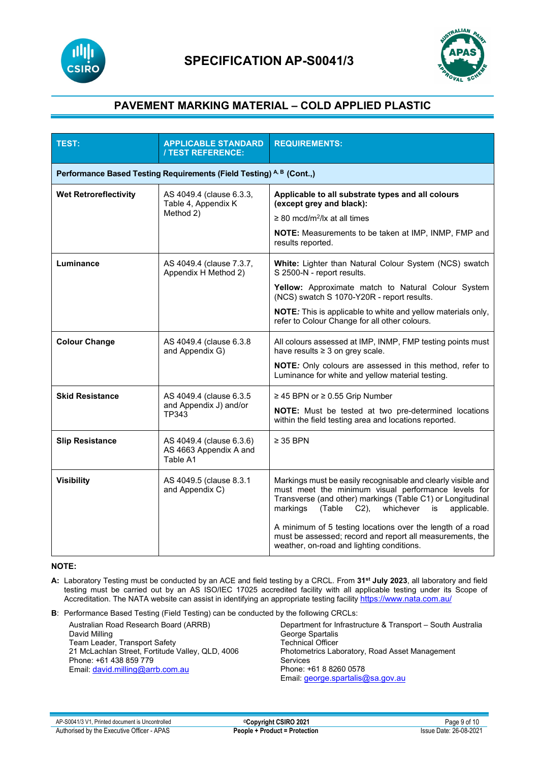



| <b>TEST:</b>                                                         | <b>APPLICABLE STANDARD</b><br><b>/ TEST REFERENCE:</b>         | <b>REQUIREMENTS:</b>                                                                                                                                                                                                                                                                                                                                                                                                   |  |
|----------------------------------------------------------------------|----------------------------------------------------------------|------------------------------------------------------------------------------------------------------------------------------------------------------------------------------------------------------------------------------------------------------------------------------------------------------------------------------------------------------------------------------------------------------------------------|--|
| Performance Based Testing Requirements (Field Testing) A, B (Cont.,) |                                                                |                                                                                                                                                                                                                                                                                                                                                                                                                        |  |
| <b>Wet Retroreflectivity</b>                                         | AS 4049.4 (clause 6.3.3,<br>Table 4, Appendix K<br>Method 2)   | Applicable to all substrate types and all colours<br>(except grey and black):<br>$\geq$ 80 mcd/m <sup>2</sup> /lx at all times<br>NOTE: Measurements to be taken at IMP, INMP, FMP and<br>results reported.                                                                                                                                                                                                            |  |
| Luminance                                                            | AS 4049.4 (clause 7.3.7,<br>Appendix H Method 2)               | <b>White:</b> Lighter than Natural Colour System (NCS) swatch<br>S 2500-N - report results.<br>Yellow: Approximate match to Natural Colour System<br>(NCS) swatch S 1070-Y20R - report results.<br><b>NOTE:</b> This is applicable to white and yellow materials only,<br>refer to Colour Change for all other colours.                                                                                                |  |
| <b>Colour Change</b>                                                 | AS 4049.4 (clause 6.3.8)<br>and Appendix G)                    | All colours assessed at IMP, INMP, FMP testing points must<br>have results ≥ 3 on grey scale.<br>NOTE: Only colours are assessed in this method, refer to<br>Luminance for white and yellow material testing.                                                                                                                                                                                                          |  |
| <b>Skid Resistance</b>                                               | AS 4049.4 (clause 6.3.5<br>and Appendix J) and/or<br>TP343     | $\geq$ 45 BPN or $\geq$ 0.55 Grip Number<br>NOTE: Must be tested at two pre-determined locations<br>within the field testing area and locations reported.                                                                                                                                                                                                                                                              |  |
| <b>Slip Resistance</b>                                               | AS 4049.4 (clause 6.3.6)<br>AS 4663 Appendix A and<br>Table A1 | $\geq$ 35 BPN                                                                                                                                                                                                                                                                                                                                                                                                          |  |
| <b>Visibility</b>                                                    | AS 4049.5 (clause 8.3.1<br>and Appendix C)                     | Markings must be easily recognisable and clearly visible and<br>must meet the minimum visual performance levels for<br>Transverse (and other) markings (Table C1) or Longitudinal<br>markings<br>(Table C2),<br>whichever<br>applicable.<br>is<br>A minimum of 5 testing locations over the length of a road<br>must be assessed; record and report all measurements, the<br>weather, on-road and lighting conditions. |  |

#### **NOTE:**

- **A:** Laboratory Testing must be conducted by an ACE and field testing by a CRCL. From **31st July 2023**, all laboratory and field testing must be carried out by an AS ISO/IEC 17025 accredited facility with all applicable testing under its Scope of Accreditation. The NATA website can assist in identifying an appropriate testing facility <u>https://www.nata.com.au/</u>
- **B**: Performance Based Testing (Field Testing) can be conducted by the following CRCLs:

| Australian Road Research Board (ARRB)            | Department for Infrastructure & Transport – South Australia |
|--------------------------------------------------|-------------------------------------------------------------|
| David Milling                                    | George Spartalis                                            |
| Team Leader, Transport Safety                    | Technical Officer                                           |
| 21 McLachlan Street, Fortitude Valley, QLD, 4006 | Photometrics Laboratory, Road Asset Management              |
| Phone: +61 438 859 779                           | <b>Services</b>                                             |
| Email: david.milling@arrb.com.au                 | Phone: +61 8 8260 0578                                      |
|                                                  | Email: george.spartalis@sa.gov.au                           |